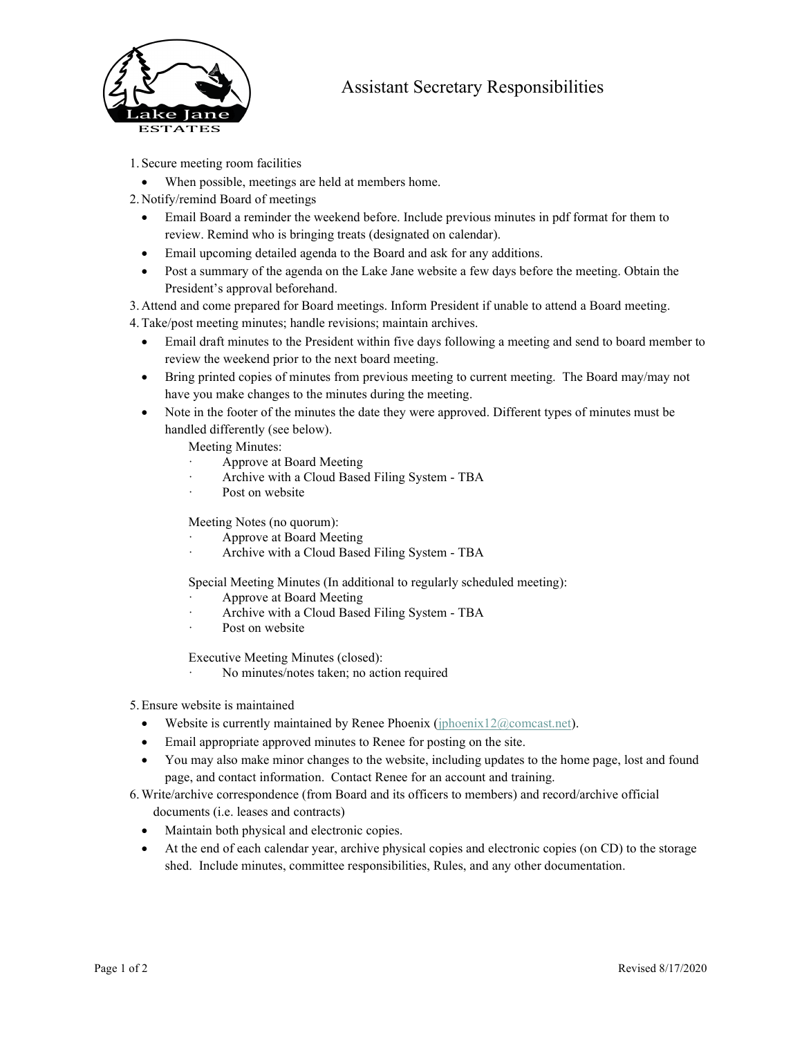

## Assistant Secretary Responsibilities

- 1. Secure meeting room facilities
	- When possible, meetings are held at members home.
- 2. Notify/remind Board of meetings
	- Email Board a reminder the weekend before. Include previous minutes in pdf format for them to review. Remind who is bringing treats (designated on calendar).
	- Email upcoming detailed agenda to the Board and ask for any additions.
	- Post a summary of the agenda on the Lake Jane website a few days before the meeting. Obtain the President's approval beforehand.
- 3. Attend and come prepared for Board meetings. Inform President if unable to attend a Board meeting.
- 4.Take/post meeting minutes; handle revisions; maintain archives.
	- Email draft minutes to the President within five days following a meeting and send to board member to review the weekend prior to the next board meeting.
	- Bring printed copies of minutes from previous meeting to current meeting. The Board may/may not have you make changes to the minutes during the meeting.
	- Note in the footer of the minutes the date they were approved. Different types of minutes must be handled differently (see below).
		- Meeting Minutes:
			- Approve at Board Meeting
		- Archive with a Cloud Based Filing System TBA
		- Post on website

## Meeting Notes (no quorum):

- Approve at Board Meeting
- Archive with a Cloud Based Filing System TBA

## Special Meeting Minutes (In additional to regularly scheduled meeting):

- Approve at Board Meeting
- Archive with a Cloud Based Filing System TBA
- Post on website

Executive Meeting Minutes (closed):

No minutes/notes taken; no action required

5.Ensure website is maintained

- Website is currently maintained by Renee Phoenix (jphoenix12 $@$ comcast.net).
- Email appropriate approved minutes to Renee for posting on the site.
- You may also make minor changes to the website, including updates to the home page, lost and found page, and contact information. Contact Renee for an account and training.
- 6.Write/archive correspondence (from Board and its officers to members) and record/archive official documents (i.e. leases and contracts)
	- Maintain both physical and electronic copies.
	- At the end of each calendar year, archive physical copies and electronic copies (on CD) to the storage shed. Include minutes, committee responsibilities, Rules, and any other documentation.